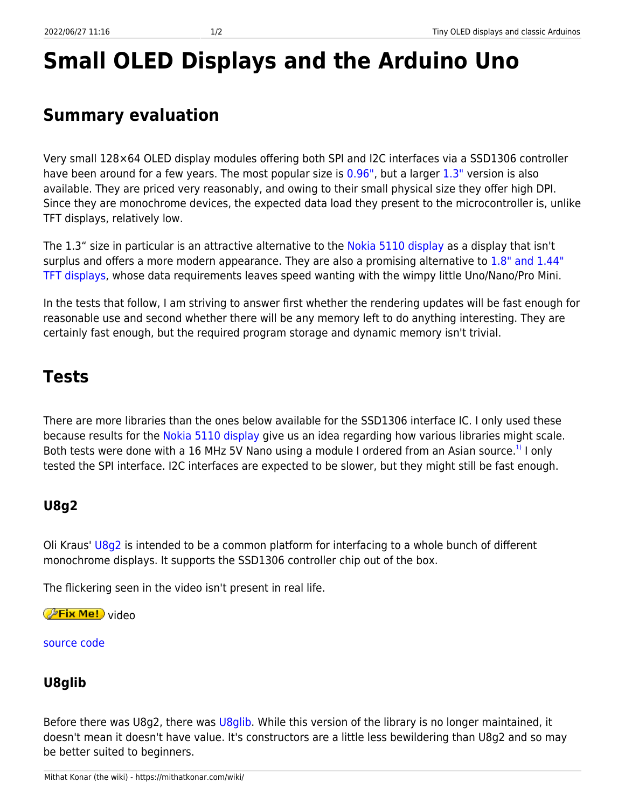# **Small OLED Displays and the Arduino Uno**

## **Summary evaluation**

Very small 128×64 OLED display modules offering both SPI and I2C interfaces via a SSD1306 controller have been around for a few years. The most popular size is [0.96",](https://www.ebay.com/sch/i.html?_odkw=0.96oled+ssd1306&_osacat=0&_from=R40&_trksid=p2045573.m570.l1313.TR0.TRC0.H0.X0.96+oled+ssd1306.TRS0&_nkw=0.96+oled+ssd1306&_sacat=0) but a larger [1.3"](https://www.ebay.com/sch/i.html?_odkw=oled+ssd1306&_osacat=0&_from=R40&_trksid=p2045573.m570.l1313.TR0.TRC0.A0.H0.X1.3%22+oled+ssd1306+.TRS1&_nkw=1.3%22+oled+ssd1306+&_sacat=0) version is also available. They are priced very reasonably, and owing to their small physical size they offer high DPI. Since they are monochrome devices, the expected data load they present to the microcontroller is, unlike TFT displays, relatively low.

The 1.3" size in particular is an attractive alternative to the [Nokia 5110 display](https://mithatkonar.com/wiki/doku.php/arduino/displays_for_classic_arduinos/nokia_5110_displays_and_classic_arduinos) as a display that isn't surplus and offers a more modern appearance. They are also a promising alternative to [1.8" and 1.44"](https://mithatkonar.com/wiki/doku.php/arduino/displays_for_classic_arduinos/1.8_and_1.44_tft_displays_and_classic_arduinos) [TFT displays,](https://mithatkonar.com/wiki/doku.php/arduino/displays_for_classic_arduinos/1.8_and_1.44_tft_displays_and_classic_arduinos) whose data requirements leaves speed wanting with the wimpy little Uno/Nano/Pro Mini.

In the tests that follow, I am striving to answer first whether the rendering updates will be fast enough for reasonable use and second whether there will be any memory left to do anything interesting. They are certainly fast enough, but the required program storage and dynamic memory isn't trivial.

## **Tests**

There are more libraries than the ones below available for the SSD1306 interface IC. I only used these because results for the [Nokia 5110 display](https://mithatkonar.com/wiki/doku.php/arduino/displays_for_classic_arduinos/nokia_5110_displays_and_classic_arduinos) give us an idea regarding how various libraries might scale. Both tests were done with a 16 MHz 5V Nano using a module I ordered from an Asian source.<sup>[1\)](#page--1-0)</sup> I only tested the SPI interface. I2C interfaces are expected to be slower, but they might still be fast enough.

### **U8g2**

Oli Kraus' [U8g2](https://github.com/olikraus/u8g2/wiki) is intended to be a common platform for interfacing to a whole bunch of different monochrome displays. It supports the SSD1306 controller chip out of the box.

The flickering seen in the video isn't present in real life.

*PFix Me!* video

[source code](https://mithatkonar.com/wiki/doku.php/arduino/displays_for_classic_arduinos/display_ssd1306_oled_u8g2.ino)

#### **U8glib**

Before there was U8g2, there was [U8glib](https://github.com/olikraus/u8glib/wiki). While this version of the library is no longer maintained, it doesn't mean it doesn't have value. It's constructors are a little less bewildering than U8g2 and so may be better suited to beginners.